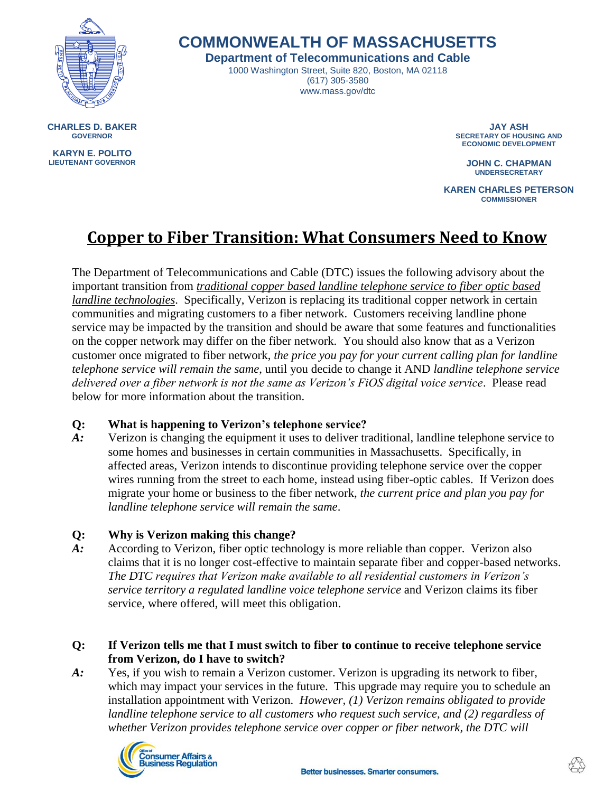

# **COMMONWEALTH OF MASSACHUSETTS**

**Department of Telecommunications and Cable**

1000 Washington Street, Suite 820, Boston, MA 02118 (617) 305-3580 www.mass.gov/dtc

**CHARLES D. BAKER GOVERNOR**

**KARYN E. POLITO LIEUTENANT GOVERNOR**

**JAY ASH SECRETARY OF HOUSING AND ECONOMIC DEVELOPMENT** 

> **JOHN C. CHAPMAN UNDERSECRETARY**

**KAREN CHARLES PETERSON COMMISSIONER**

# **Copper to Fiber Transition: What Consumers Need to Know**

The Department of Telecommunications and Cable (DTC) issues the following advisory about the important transition from *traditional copper based landline telephone service to fiber optic based landline technologies*. Specifically, Verizon is replacing its traditional copper network in certain communities and migrating customers to a fiber network. Customers receiving landline phone service may be impacted by the transition and should be aware that some features and functionalities on the copper network may differ on the fiber network. You should also know that as a Verizon customer once migrated to fiber network, *the price you pay for your current calling plan for landline telephone service will remain the same*, until you decide to change it AND *landline telephone service delivered over a fiber network is not the same as Verizon's FiOS digital voice service*. Please read below for more information about the transition.

#### **Q: What is happening to Verizon's telephone service?**

*A:* Verizon is changing the equipment it uses to deliver traditional, landline telephone service to some homes and businesses in certain communities in Massachusetts. Specifically, in affected areas, Verizon intends to discontinue providing telephone service over the copper wires running from the street to each home, instead using fiber-optic cables. If Verizon does migrate your home or business to the fiber network, *the current price and plan you pay for landline telephone service will remain the same*.

#### **Q: Why is Verizon making this change?**

*A:* According to Verizon, fiber optic technology is more reliable than copper. Verizon also claims that it is no longer cost-effective to maintain separate fiber and copper-based networks. *The DTC requires that Verizon make available to all residential customers in Verizon's service territory a regulated landline voice telephone service* and Verizon claims its fiber service, where offered, will meet this obligation.

#### **Q: If Verizon tells me that I must switch to fiber to continue to receive telephone service from Verizon, do I have to switch?**

*A:* Yes, if you wish to remain a Verizon customer. Verizon is upgrading its network to fiber, which may impact your services in the future. This upgrade may require you to schedule an installation appointment with Verizon. *However, (1) Verizon remains obligated to provide landline telephone service to all customers who request such service, and (2) regardless of whether Verizon provides telephone service over copper or fiber network, the DTC will* 

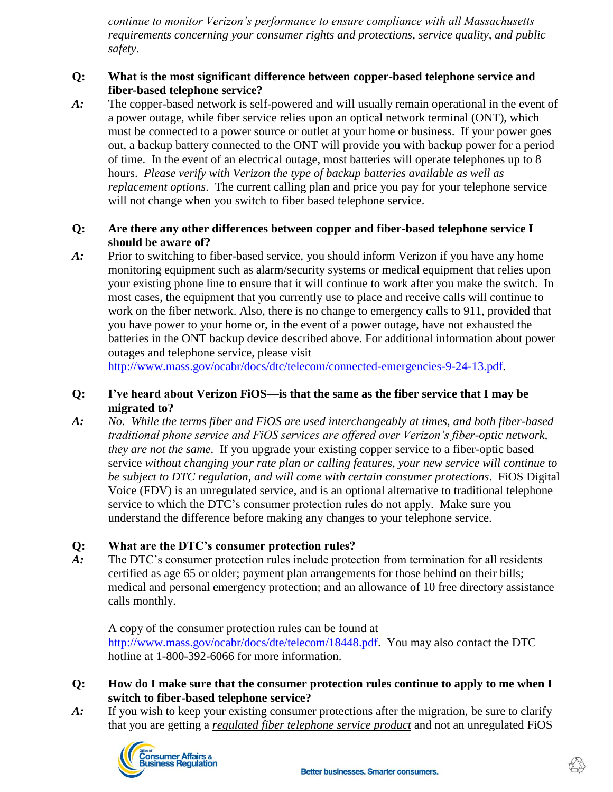*continue to monitor Verizon's performance to ensure compliance with all Massachusetts requirements concerning your consumer rights and protections, service quality, and public safety*.

## **Q: What is the most significant difference between copper-based telephone service and fiber-based telephone service?**

*A:* The copper-based network is self-powered and will usually remain operational in the event of a power outage, while fiber service relies upon an optical network terminal (ONT), which must be connected to a power source or outlet at your home or business. If your power goes out, a backup battery connected to the ONT will provide you with backup power for a period of time. In the event of an electrical outage, most batteries will operate telephones up to 8 hours. *Please verify with Verizon the type of backup batteries available as well as replacement options*. The current calling plan and price you pay for your telephone service will not change when you switch to fiber based telephone service.

#### **Q: Are there any other differences between copper and fiber-based telephone service I should be aware of?**

*A:* Prior to switching to fiber-based service, you should inform Verizon if you have any home monitoring equipment such as alarm/security systems or medical equipment that relies upon your existing phone line to ensure that it will continue to work after you make the switch. In most cases, the equipment that you currently use to place and receive calls will continue to work on the fiber network. Also, there is no change to emergency calls to 911, provided that you have power to your home or, in the event of a power outage, have not exhausted the batteries in the ONT backup device described above. For additional information about power outages and telephone service, please visit

[http://www.mass.gov/ocabr/docs/dtc/telecom/connected-emergencies-9-24-13.pdf.](http://www.mass.gov/ocabr/docs/dtc/telecom/connected-emergencies-9-24-13.pdf)

#### **Q: I've heard about Verizon FiOS—is that the same as the fiber service that I may be migrated to?**

*A: No. While the terms fiber and FiOS are used interchangeably at times, and both fiber-based traditional phone service and FiOS services are offered over Verizon's fiber-optic network, they are not the same*. If you upgrade your existing copper service to a fiber-optic based service *without changing your rate plan or calling features, your new service will continue to be subject to DTC regulation, and will come with certain consumer protections*. FiOS Digital Voice (FDV) is an unregulated service, and is an optional alternative to traditional telephone service to which the DTC's consumer protection rules do not apply. Make sure you understand the difference before making any changes to your telephone service.

# **Q: What are the DTC's consumer protection rules?**

*A:* The DTC's consumer protection rules include protection from termination for all residents certified as age 65 or older; payment plan arrangements for those behind on their bills; medical and personal emergency protection; and an allowance of 10 free directory assistance calls monthly.

A copy of the consumer protection rules can be found at [http://www.mass.gov/ocabr/docs/dte/telecom/18448.pdf.](http://www.mass.gov/ocabr/docs/dte/telecom/18448.pdf) You may also contact the DTC hotline at 1-800-392-6066 for more information.

## **Q: How do I make sure that the consumer protection rules continue to apply to me when I switch to fiber-based telephone service?**

*A:* If you wish to keep your existing consumer protections after the migration, be sure to clarify that you are getting a *regulated fiber telephone service product* and not an unregulated FiOS